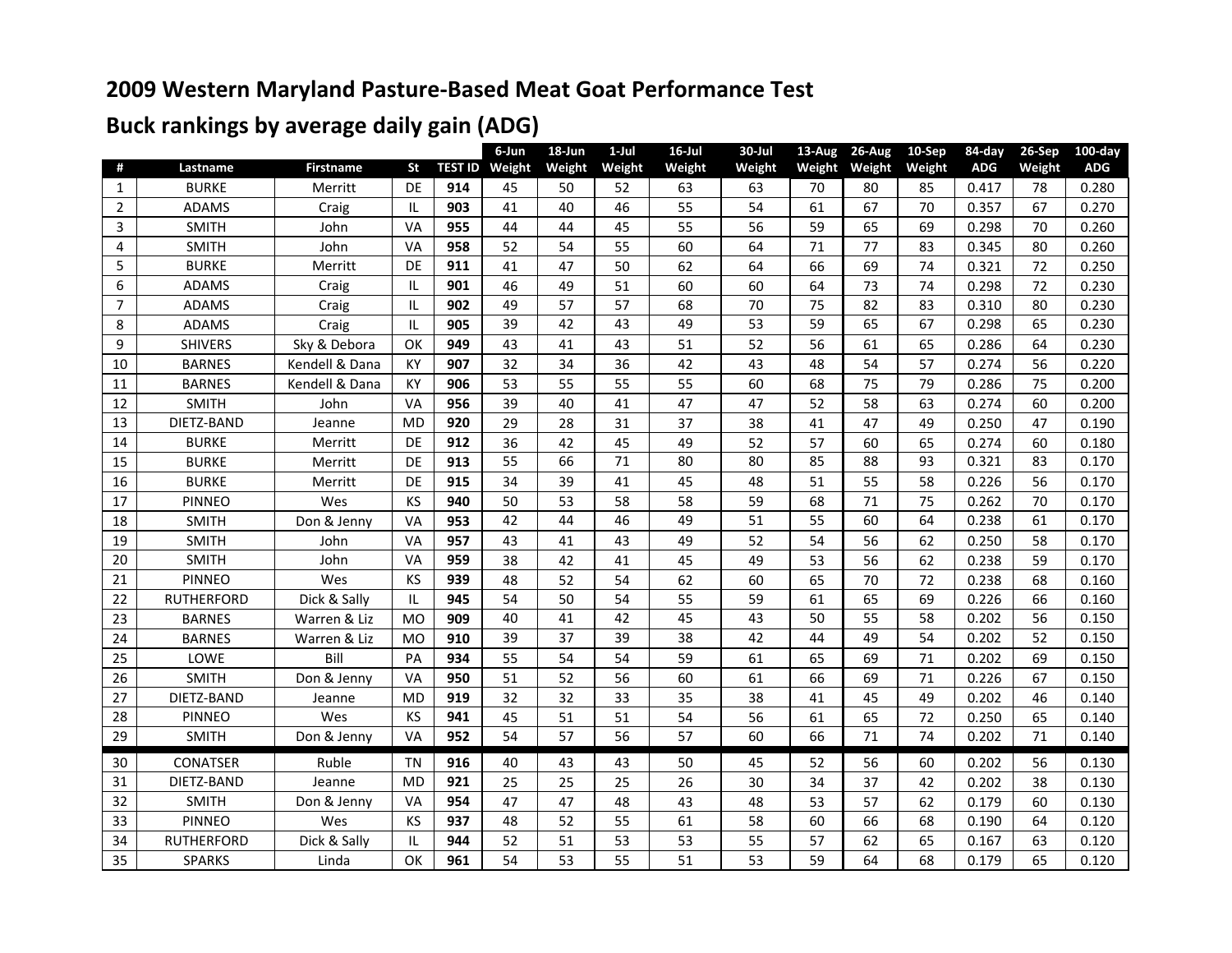## **2009 Western Maryland Pasture-Based Meat Goat Performance Test**

## **Buck rankings by average daily gain (ADG)**

| Lastname<br><b>Firstname</b><br><b>St</b><br><b>TEST ID Weight</b><br><b>ADG</b><br><b>BURKE</b><br>DE<br>914<br>0.417<br>1<br>Merritt<br>45<br>50<br>52<br>63<br>63<br>70<br>80<br>85<br>78<br>46<br>55<br>54<br>67<br>70<br>$\overline{2}$<br><b>ADAMS</b><br>IL<br>903<br>41<br>40<br>61<br>0.357<br>67<br>Craig<br>3<br><b>SMITH</b><br>VA<br>955<br>55<br>56<br>59<br>65<br>69<br>70<br>John<br>44<br>44<br>45<br>0.298<br>77<br>VA<br>958<br>52<br>54<br>55<br>60<br>64<br>71<br>83<br>0.345<br>80<br>4<br><b>SMITH</b><br>John<br>5<br><b>BURKE</b><br>DE<br>47<br>50<br>62<br>64<br>66<br>69<br>74<br>72<br>911<br>41<br>0.321<br>Merritt<br>901<br>72<br>6<br><b>ADAMS</b><br>IL<br>46<br>49<br>51<br>60<br>60<br>64<br>73<br>74<br>0.298<br>Craig<br>$\overline{7}$<br>49<br>57<br>57<br>68<br>70<br>75<br>82<br><b>ADAMS</b><br>IL<br>902<br>83<br>0.310<br>80<br>Craig<br>53<br>65<br>39<br>42<br>43<br>49<br>59<br>67<br>65<br>905<br>0.298<br>8<br><b>ADAMS</b><br>Craig<br>IL<br>52<br>$\boldsymbol{9}$<br>56<br><b>SHIVERS</b><br>Sky & Debora<br>OK<br>949<br>43<br>43<br>51<br>61<br>65<br>0.286<br>64<br>41<br>KY<br>32<br>34<br>36<br>42<br>43<br>48<br>54<br>57<br>10<br><b>BARNES</b><br>Kendell & Dana<br>907<br>0.274<br>56<br>KY<br><b>BARNES</b><br>906<br>53<br>55<br>55<br>60<br>68<br>75<br>79<br>75<br>Kendell & Dana<br>55<br>11<br>0.286<br>VA<br>39<br>40<br>47<br>47<br>58<br>63<br>60<br><b>SMITH</b><br>956<br>41<br>52<br>12<br>John<br>0.274<br>13<br>DIETZ-BAND<br><b>MD</b><br>920<br>29<br>37<br>38<br>28<br>31<br>41<br>47<br>49<br>47<br>0.250<br>Jeanne<br>36<br>52<br>57<br>60<br><b>BURKE</b><br>DE<br>912<br>42<br>45<br>49<br>65<br>60<br>14<br>0.274<br>Merritt<br>55<br>66<br>71<br>80<br>85<br>88<br>80<br>93<br>0.321<br>83<br>DE<br>913<br>15<br><b>BURKE</b><br>Merritt |    |              |         |    |     | 6-Jun | 18-Jun | $1$ -Jul | $16$ -Jul | 30-Jul | $13-Aug$ | 26-Aug | 10-Sep | 84-day | $26-Sep$ | $100$ -day |
|-------------------------------------------------------------------------------------------------------------------------------------------------------------------------------------------------------------------------------------------------------------------------------------------------------------------------------------------------------------------------------------------------------------------------------------------------------------------------------------------------------------------------------------------------------------------------------------------------------------------------------------------------------------------------------------------------------------------------------------------------------------------------------------------------------------------------------------------------------------------------------------------------------------------------------------------------------------------------------------------------------------------------------------------------------------------------------------------------------------------------------------------------------------------------------------------------------------------------------------------------------------------------------------------------------------------------------------------------------------------------------------------------------------------------------------------------------------------------------------------------------------------------------------------------------------------------------------------------------------------------------------------------------------------------------------------------------------------------------------------------------------------------------------------------------------------------------|----|--------------|---------|----|-----|-------|--------|----------|-----------|--------|----------|--------|--------|--------|----------|------------|
|                                                                                                                                                                                                                                                                                                                                                                                                                                                                                                                                                                                                                                                                                                                                                                                                                                                                                                                                                                                                                                                                                                                                                                                                                                                                                                                                                                                                                                                                                                                                                                                                                                                                                                                                                                                                                               | #  |              |         |    |     |       | Weight | Weight   | Weight    | Weight | Weight   | Weight | Weight |        | Weight   | <b>ADG</b> |
|                                                                                                                                                                                                                                                                                                                                                                                                                                                                                                                                                                                                                                                                                                                                                                                                                                                                                                                                                                                                                                                                                                                                                                                                                                                                                                                                                                                                                                                                                                                                                                                                                                                                                                                                                                                                                               |    |              |         |    |     |       |        |          |           |        |          |        |        |        |          | 0.280      |
|                                                                                                                                                                                                                                                                                                                                                                                                                                                                                                                                                                                                                                                                                                                                                                                                                                                                                                                                                                                                                                                                                                                                                                                                                                                                                                                                                                                                                                                                                                                                                                                                                                                                                                                                                                                                                               |    |              |         |    |     |       |        |          |           |        |          |        |        |        |          | 0.270      |
|                                                                                                                                                                                                                                                                                                                                                                                                                                                                                                                                                                                                                                                                                                                                                                                                                                                                                                                                                                                                                                                                                                                                                                                                                                                                                                                                                                                                                                                                                                                                                                                                                                                                                                                                                                                                                               |    |              |         |    |     |       |        |          |           |        |          |        |        |        |          | 0.260      |
|                                                                                                                                                                                                                                                                                                                                                                                                                                                                                                                                                                                                                                                                                                                                                                                                                                                                                                                                                                                                                                                                                                                                                                                                                                                                                                                                                                                                                                                                                                                                                                                                                                                                                                                                                                                                                               |    |              |         |    |     |       |        |          |           |        |          |        |        |        |          | 0.260      |
|                                                                                                                                                                                                                                                                                                                                                                                                                                                                                                                                                                                                                                                                                                                                                                                                                                                                                                                                                                                                                                                                                                                                                                                                                                                                                                                                                                                                                                                                                                                                                                                                                                                                                                                                                                                                                               |    |              |         |    |     |       |        |          |           |        |          |        |        |        |          | 0.250      |
|                                                                                                                                                                                                                                                                                                                                                                                                                                                                                                                                                                                                                                                                                                                                                                                                                                                                                                                                                                                                                                                                                                                                                                                                                                                                                                                                                                                                                                                                                                                                                                                                                                                                                                                                                                                                                               |    |              |         |    |     |       |        |          |           |        |          |        |        |        |          | 0.230      |
|                                                                                                                                                                                                                                                                                                                                                                                                                                                                                                                                                                                                                                                                                                                                                                                                                                                                                                                                                                                                                                                                                                                                                                                                                                                                                                                                                                                                                                                                                                                                                                                                                                                                                                                                                                                                                               |    |              |         |    |     |       |        |          |           |        |          |        |        |        |          | 0.230      |
|                                                                                                                                                                                                                                                                                                                                                                                                                                                                                                                                                                                                                                                                                                                                                                                                                                                                                                                                                                                                                                                                                                                                                                                                                                                                                                                                                                                                                                                                                                                                                                                                                                                                                                                                                                                                                               |    |              |         |    |     |       |        |          |           |        |          |        |        |        |          | 0.230      |
|                                                                                                                                                                                                                                                                                                                                                                                                                                                                                                                                                                                                                                                                                                                                                                                                                                                                                                                                                                                                                                                                                                                                                                                                                                                                                                                                                                                                                                                                                                                                                                                                                                                                                                                                                                                                                               |    |              |         |    |     |       |        |          |           |        |          |        |        |        |          | 0.230      |
|                                                                                                                                                                                                                                                                                                                                                                                                                                                                                                                                                                                                                                                                                                                                                                                                                                                                                                                                                                                                                                                                                                                                                                                                                                                                                                                                                                                                                                                                                                                                                                                                                                                                                                                                                                                                                               |    |              |         |    |     |       |        |          |           |        |          |        |        |        |          | 0.220      |
|                                                                                                                                                                                                                                                                                                                                                                                                                                                                                                                                                                                                                                                                                                                                                                                                                                                                                                                                                                                                                                                                                                                                                                                                                                                                                                                                                                                                                                                                                                                                                                                                                                                                                                                                                                                                                               |    |              |         |    |     |       |        |          |           |        |          |        |        |        |          | 0.200      |
|                                                                                                                                                                                                                                                                                                                                                                                                                                                                                                                                                                                                                                                                                                                                                                                                                                                                                                                                                                                                                                                                                                                                                                                                                                                                                                                                                                                                                                                                                                                                                                                                                                                                                                                                                                                                                               |    |              |         |    |     |       |        |          |           |        |          |        |        |        |          | 0.200      |
|                                                                                                                                                                                                                                                                                                                                                                                                                                                                                                                                                                                                                                                                                                                                                                                                                                                                                                                                                                                                                                                                                                                                                                                                                                                                                                                                                                                                                                                                                                                                                                                                                                                                                                                                                                                                                               |    |              |         |    |     |       |        |          |           |        |          |        |        |        |          | 0.190      |
|                                                                                                                                                                                                                                                                                                                                                                                                                                                                                                                                                                                                                                                                                                                                                                                                                                                                                                                                                                                                                                                                                                                                                                                                                                                                                                                                                                                                                                                                                                                                                                                                                                                                                                                                                                                                                               |    |              |         |    |     |       |        |          |           |        |          |        |        |        |          | 0.180      |
|                                                                                                                                                                                                                                                                                                                                                                                                                                                                                                                                                                                                                                                                                                                                                                                                                                                                                                                                                                                                                                                                                                                                                                                                                                                                                                                                                                                                                                                                                                                                                                                                                                                                                                                                                                                                                               |    |              |         |    |     |       |        |          |           |        |          |        |        |        |          | 0.170      |
|                                                                                                                                                                                                                                                                                                                                                                                                                                                                                                                                                                                                                                                                                                                                                                                                                                                                                                                                                                                                                                                                                                                                                                                                                                                                                                                                                                                                                                                                                                                                                                                                                                                                                                                                                                                                                               | 16 | <b>BURKE</b> | Merritt | DE | 915 | 34    | 39     | 41       | 45        | 48     | 51       | 55     | 58     | 0.226  | 56       | 0.170      |
| KS<br>53<br>58<br>59<br>71<br>75<br>940<br>50<br>58<br>68<br>70<br>17<br><b>PINNEO</b><br>Wes<br>0.262                                                                                                                                                                                                                                                                                                                                                                                                                                                                                                                                                                                                                                                                                                                                                                                                                                                                                                                                                                                                                                                                                                                                                                                                                                                                                                                                                                                                                                                                                                                                                                                                                                                                                                                        |    |              |         |    |     |       |        |          |           |        |          |        |        |        |          | 0.170      |
| 42<br>44<br>46<br>51<br>60<br>64<br>61<br>VA<br>49<br>55<br>0.238<br>18<br>Don & Jenny<br>953<br><b>SMITH</b>                                                                                                                                                                                                                                                                                                                                                                                                                                                                                                                                                                                                                                                                                                                                                                                                                                                                                                                                                                                                                                                                                                                                                                                                                                                                                                                                                                                                                                                                                                                                                                                                                                                                                                                 |    |              |         |    |     |       |        |          |           |        |          |        |        |        |          | 0.170      |
| 52<br>54<br>56<br>62<br>19<br>VA<br>957<br>43<br>41<br>43<br>49<br>0.250<br>58<br><b>SMITH</b><br>John                                                                                                                                                                                                                                                                                                                                                                                                                                                                                                                                                                                                                                                                                                                                                                                                                                                                                                                                                                                                                                                                                                                                                                                                                                                                                                                                                                                                                                                                                                                                                                                                                                                                                                                        |    |              |         |    |     |       |        |          |           |        |          |        |        |        |          | 0.170      |
| 38<br>49<br>VA<br>959<br>42<br>41<br>45<br>53<br>56<br>62<br>0.238<br>59<br>20<br><b>SMITH</b><br>John                                                                                                                                                                                                                                                                                                                                                                                                                                                                                                                                                                                                                                                                                                                                                                                                                                                                                                                                                                                                                                                                                                                                                                                                                                                                                                                                                                                                                                                                                                                                                                                                                                                                                                                        |    |              |         |    |     |       |        |          |           |        |          |        |        |        |          | 0.170      |
| KS<br>939<br>60<br>21<br><b>PINNEO</b><br>Wes<br>48<br>52<br>62<br>65<br>70<br>54<br>72<br>0.238<br>68                                                                                                                                                                                                                                                                                                                                                                                                                                                                                                                                                                                                                                                                                                                                                                                                                                                                                                                                                                                                                                                                                                                                                                                                                                                                                                                                                                                                                                                                                                                                                                                                                                                                                                                        |    |              |         |    |     |       |        |          |           |        |          |        |        |        |          | 0.160      |
| 54<br>50<br>55<br>59<br>65<br>69<br>22<br>Dick & Sally<br>IL<br>945<br>54<br>61<br>0.226<br>66<br><b>RUTHERFORD</b>                                                                                                                                                                                                                                                                                                                                                                                                                                                                                                                                                                                                                                                                                                                                                                                                                                                                                                                                                                                                                                                                                                                                                                                                                                                                                                                                                                                                                                                                                                                                                                                                                                                                                                           |    |              |         |    |     |       |        |          |           |        |          |        |        |        |          | 0.160      |
| $\overline{43}$<br>40<br>41<br>42<br>45<br>50<br>55<br>58<br>56<br>909<br>0.202<br>23<br><b>BARNES</b><br><b>MO</b><br>Warren & Liz                                                                                                                                                                                                                                                                                                                                                                                                                                                                                                                                                                                                                                                                                                                                                                                                                                                                                                                                                                                                                                                                                                                                                                                                                                                                                                                                                                                                                                                                                                                                                                                                                                                                                           |    |              |         |    |     |       |        |          |           |        |          |        |        |        |          | 0.150      |
| 42<br>39<br>37<br>39<br>38<br>44<br>49<br>54<br>52<br>910<br>0.202<br>24<br><b>BARNES</b><br>Warren & Liz<br><b>MO</b>                                                                                                                                                                                                                                                                                                                                                                                                                                                                                                                                                                                                                                                                                                                                                                                                                                                                                                                                                                                                                                                                                                                                                                                                                                                                                                                                                                                                                                                                                                                                                                                                                                                                                                        |    |              |         |    |     |       |        |          |           |        |          |        |        |        |          | 0.150      |
| 61<br>Bill<br>934<br>55<br>54<br>54<br>65<br>69<br>71<br>69<br>25<br>LOWE<br>PA<br>59<br>0.202                                                                                                                                                                                                                                                                                                                                                                                                                                                                                                                                                                                                                                                                                                                                                                                                                                                                                                                                                                                                                                                                                                                                                                                                                                                                                                                                                                                                                                                                                                                                                                                                                                                                                                                                |    |              |         |    |     |       |        |          |           |        |          |        |        |        |          | 0.150      |
| Don & Jenny<br>26<br><b>SMITH</b><br>VA<br>950<br>51<br>52<br>56<br>61<br>66<br>71<br>60<br>69<br>0.226<br>67                                                                                                                                                                                                                                                                                                                                                                                                                                                                                                                                                                                                                                                                                                                                                                                                                                                                                                                                                                                                                                                                                                                                                                                                                                                                                                                                                                                                                                                                                                                                                                                                                                                                                                                 |    |              |         |    |     |       |        |          |           |        |          |        |        |        |          | 0.150      |
| 32<br>32<br>38<br>919<br>33<br>35<br>49<br>27<br>DIETZ-BAND<br><b>MD</b><br>41<br>45<br>0.202<br>46<br>Jeanne                                                                                                                                                                                                                                                                                                                                                                                                                                                                                                                                                                                                                                                                                                                                                                                                                                                                                                                                                                                                                                                                                                                                                                                                                                                                                                                                                                                                                                                                                                                                                                                                                                                                                                                 |    |              |         |    |     |       |        |          |           |        |          |        |        |        |          | 0.140      |
| KS<br>56<br>51<br>28<br><b>PINNEO</b><br>Wes<br>941<br>45<br>51<br>54<br>65<br>72<br>0.250<br>61<br>65                                                                                                                                                                                                                                                                                                                                                                                                                                                                                                                                                                                                                                                                                                                                                                                                                                                                                                                                                                                                                                                                                                                                                                                                                                                                                                                                                                                                                                                                                                                                                                                                                                                                                                                        |    |              |         |    |     |       |        |          |           |        |          |        |        |        |          | 0.140      |
| 60<br>952<br>54<br>57<br>56<br>57<br>66<br>71<br>74<br>71<br>29<br><b>SMITH</b><br>Don & Jenny<br>VA<br>0.202                                                                                                                                                                                                                                                                                                                                                                                                                                                                                                                                                                                                                                                                                                                                                                                                                                                                                                                                                                                                                                                                                                                                                                                                                                                                                                                                                                                                                                                                                                                                                                                                                                                                                                                 |    |              |         |    |     |       |        |          |           |        |          |        |        |        |          | 0.140      |
| Ruble<br><b>TN</b><br>916<br>30<br><b>CONATSER</b><br>40<br>43<br>45<br>56<br>60<br>0.202<br>43<br>50<br>52<br>56                                                                                                                                                                                                                                                                                                                                                                                                                                                                                                                                                                                                                                                                                                                                                                                                                                                                                                                                                                                                                                                                                                                                                                                                                                                                                                                                                                                                                                                                                                                                                                                                                                                                                                             |    |              |         |    |     |       |        |          |           |        |          |        |        |        |          | 0.130      |
| 25<br>37<br><b>MD</b><br>921<br>25<br>25<br>26<br>30<br>34<br>42<br>38<br>31<br>DIETZ-BAND<br>0.202<br>Jeanne                                                                                                                                                                                                                                                                                                                                                                                                                                                                                                                                                                                                                                                                                                                                                                                                                                                                                                                                                                                                                                                                                                                                                                                                                                                                                                                                                                                                                                                                                                                                                                                                                                                                                                                 |    |              |         |    |     |       |        |          |           |        |          |        |        |        |          | 0.130      |
| <b>SMITH</b><br>Don & Jenny<br>VA<br>954<br>47<br>32<br>47<br>48<br>43<br>48<br>53<br>57<br>62<br>0.179<br>60                                                                                                                                                                                                                                                                                                                                                                                                                                                                                                                                                                                                                                                                                                                                                                                                                                                                                                                                                                                                                                                                                                                                                                                                                                                                                                                                                                                                                                                                                                                                                                                                                                                                                                                 |    |              |         |    |     |       |        |          |           |        |          |        |        |        |          | 0.130      |
| KS<br>48<br>52<br>58<br>60<br>66<br>64<br><b>PINNEO</b><br>Wes<br>937<br>55<br>61<br>68<br>0.190<br>33                                                                                                                                                                                                                                                                                                                                                                                                                                                                                                                                                                                                                                                                                                                                                                                                                                                                                                                                                                                                                                                                                                                                                                                                                                                                                                                                                                                                                                                                                                                                                                                                                                                                                                                        |    |              |         |    |     |       |        |          |           |        |          |        |        |        |          | 0.120      |
| Dick & Sally<br>52<br>944<br>51<br>53<br>53<br>55<br>57<br>62<br>65<br>63<br>34<br><b>RUTHERFORD</b><br>IL<br>0.167                                                                                                                                                                                                                                                                                                                                                                                                                                                                                                                                                                                                                                                                                                                                                                                                                                                                                                                                                                                                                                                                                                                                                                                                                                                                                                                                                                                                                                                                                                                                                                                                                                                                                                           |    |              |         |    |     |       |        |          |           |        |          |        |        |        |          | 0.120      |
| 54<br>35<br><b>SPARKS</b><br>Linda<br>OK<br>961<br>53<br>55<br>51<br>53<br>59<br>64<br>68<br>65<br>0.179                                                                                                                                                                                                                                                                                                                                                                                                                                                                                                                                                                                                                                                                                                                                                                                                                                                                                                                                                                                                                                                                                                                                                                                                                                                                                                                                                                                                                                                                                                                                                                                                                                                                                                                      |    |              |         |    |     |       |        |          |           |        |          |        |        |        |          | 0.120      |